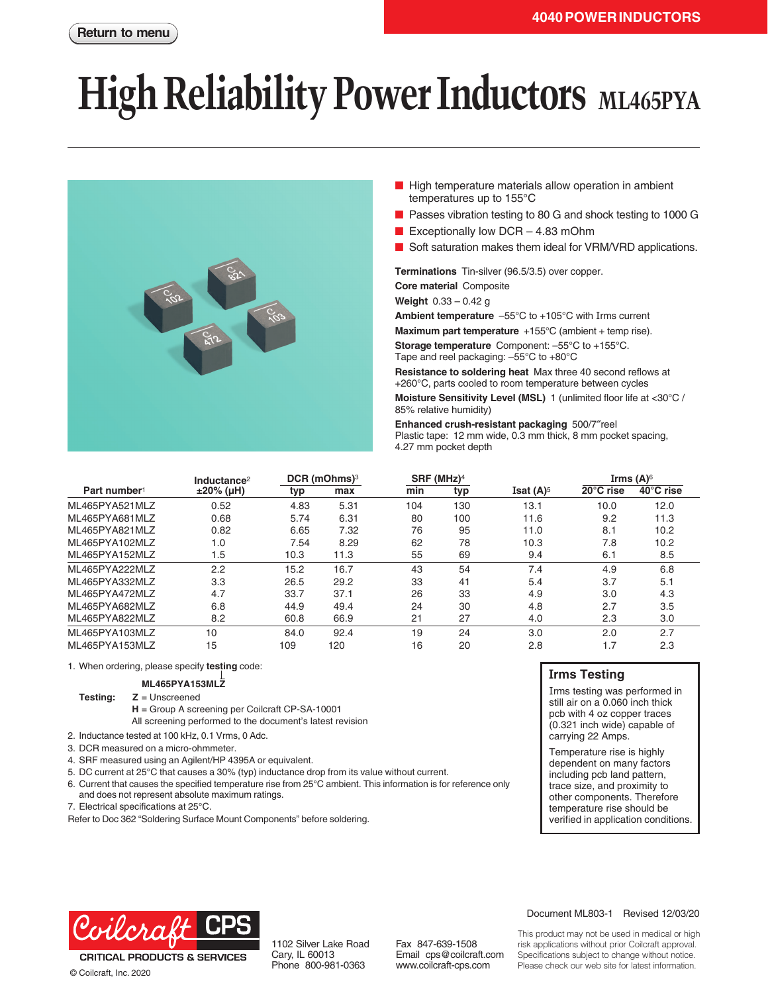# **High Reliability Power Inductors** ML465PYA



- High temperature materials allow operation in ambient temperatures up to 155°C
- Passes vibration testing to 80 G and shock testing to 1000 G
- Exceptionally low  $DCR 4.83$  mOhm
- Soft saturation makes them ideal for VRM/VRD applications.

**Terminations** Tin-silver (96.5/3.5) over copper.

**Core material** Composite

**Weight** 0.33 – 0.42 g

**Ambient temperature** –55°C to +105°C with Irms current

**Maximum part temperature** +155°C (ambient + temp rise).

**Storage temperature** Component: –55°C to +155°C. Tape and reel packaging: –55°C to +80°C

**Resistance to soldering heat** Max three 40 second reflows at +260°C, parts cooled to room temperature between cycles

**Moisture Sensitivity Level (MSL)** 1 (unlimited floor life at <30°C / 85% relative humidity)

**Enhanced crush-resistant packaging** 500/7″reel Plastic tape: 12 mm wide, 0.3 mm thick, 8 mm pocket spacing, 4.27 mm pocket depth

|                          | Inductance <sup>2</sup> |      | DCR (mOhms) <sup>3</sup> |     | $SRF$ (MHz) <sup>4</sup> |                                | Irms $(A)$ <sup>6</sup> |           |
|--------------------------|-------------------------|------|--------------------------|-----|--------------------------|--------------------------------|-------------------------|-----------|
| Part number <sup>1</sup> | $±20\%$ (µH)            | typ  | max                      | min | typ                      | <b>Isat <math>(A)^5</math></b> | 20°C rise               | 40°C rise |
| ML465PYA521MLZ           | 0.52                    | 4.83 | 5.31                     | 104 | 130                      | 13.1                           | 10.0                    | 12.0      |
| ML465PYA681MLZ           | 0.68                    | 5.74 | 6.31                     | 80  | 100                      | 11.6                           | 9.2                     | 11.3      |
| ML465PYA821MLZ           | 0.82                    | 6.65 | 7.32                     | 76  | 95                       | 11.0                           | 8.1                     | 10.2      |
| MI 465PYA102MI Z         | 1.0                     | 7.54 | 8.29                     | 62  | 78                       | 10.3                           | 7.8                     | 10.2      |
| ML465PYA152MLZ           | 1.5                     | 10.3 | 11.3                     | 55  | 69                       | 9.4                            | 6.1                     | 8.5       |
| ML465PYA222MLZ           | 2.2                     | 15.2 | 16.7                     | 43  | 54                       | 7.4                            | 4.9                     | 6.8       |
| ML465PYA332MLZ           | 3.3                     | 26.5 | 29.2                     | 33  | 41                       | 5.4                            | 3.7                     | 5.1       |
| ML465PYA472MLZ           | 4.7                     | 33.7 | 37.1                     | 26  | 33                       | 4.9                            | 3.0                     | 4.3       |
| ML465PYA682MLZ           | 6.8                     | 44.9 | 49.4                     | 24  | 30                       | 4.8                            | 2.7                     | 3.5       |
| ML465PYA822MLZ           | 8.2                     | 60.8 | 66.9                     | 21  | 27                       | 4.0                            | 2.3                     | 3.0       |
| ML465PYA103MLZ           | 10                      | 84.0 | 92.4                     | 19  | 24                       | 3.0                            | 2.0                     | 2.7       |
| ML465PYA153MLZ           | 15                      | 109  | 120                      | 16  | 20                       | 2.8                            | 1.7                     | 2.3       |

1. When ordering, please specify **testing** code:

#### **ML465PYA153MLZ**

**Testing: Z** = Unscreened

- **H** = Group A screening per Coilcraft CP-SA-10001 All screening performed to the document's latest revision
- 2. Inductance tested at 100 kHz, 0.1 Vrms, 0 Adc.
- 3. DCR measured on a micro-ohmmeter.
- 4. SRF measured using an Agilent/HP 4395A or equivalent.
- 5. DC current at 25°C that causes a 30% (typ) inductance drop from its value without current.
- 6. Current that causes the specified temperature rise from 25°C ambient. This information is for reference only and does not represent absolute maximum ratings.
- 7. Electrical specifications at 25°C.

Refer to Doc 362 "Soldering Surface Mount Components" before soldering.

### **Irms Testing**

Irms testing was performed in still air on a 0.060 inch thick pcb with 4 oz copper traces (0.321 inch wide) capable of carrying 22 Amps.

Temperature rise is highly dependent on many factors including pcb land pattern, trace size, and proximity to other components. Therefore temperature rise should be verified in application conditions.



© Coilcraft, Inc. 2020

1102 Silver Lake Road Cary, IL 60013 Phone 800-981-0363

Fax 847-639-1508 Email cps@coilcraft.com www.coilcraft-cps.com

#### Document ML803-1 Revised 12/03/20

This product may not be used in medical or high risk applications without prior Coilcraft approval. Specifications subject to change without notice. Please check our web site for latest information.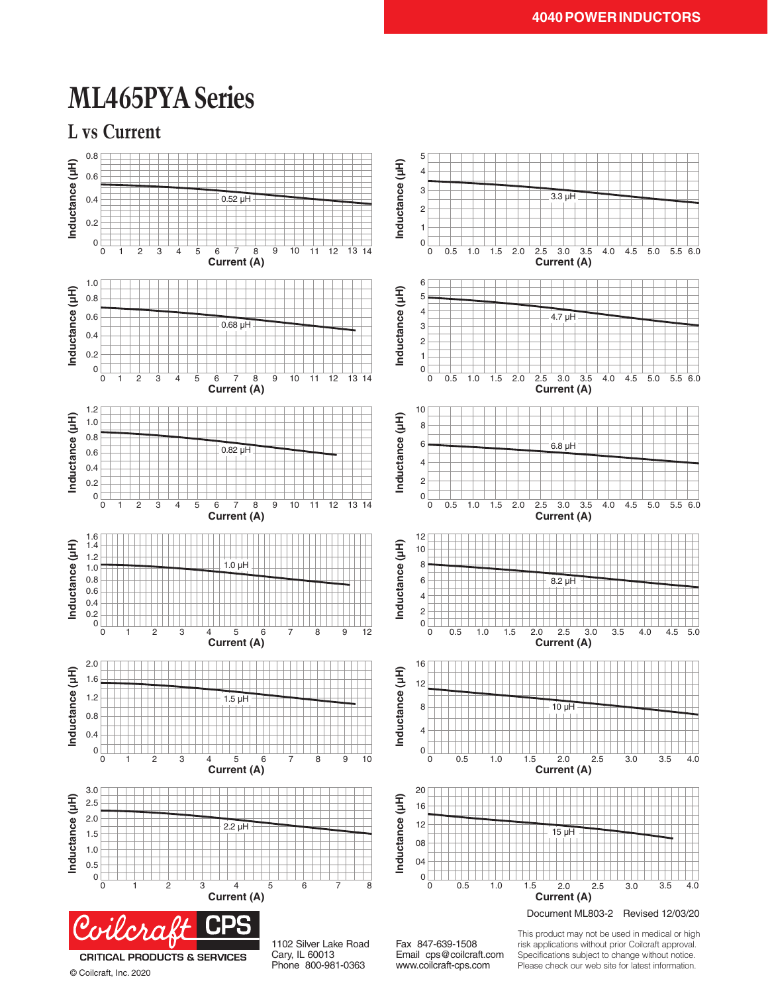### **ML465PYA Series**





© Coilcraft, Inc. 2020

Cary, IL 60013 Phone 800-981-0363

Email cps@coilcraft.com www.coilcraft-cps.com

Specifications subject to change without notice. Please check our web site for latest information.